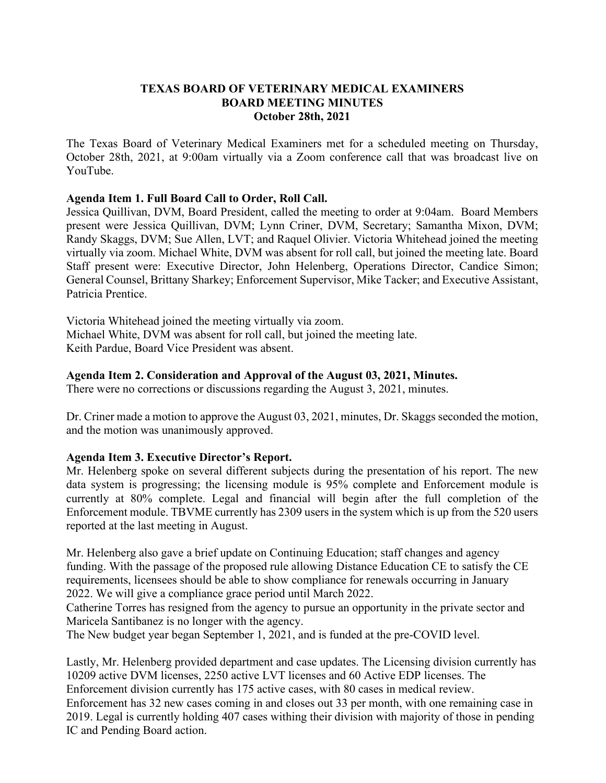#### **TEXAS BOARD OF VETERINARY MEDICAL EXAMINERS BOARD MEETING MINUTES October 28th, 2021**

The Texas Board of Veterinary Medical Examiners met for a scheduled meeting on Thursday, October 28th, 2021, at 9:00am virtually via a Zoom conference call that was broadcast live on YouTube.

#### **Agenda Item 1. Full Board Call to Order, Roll Call.**

Jessica Quillivan, DVM, Board President, called the meeting to order at 9:04am. Board Members present were Jessica Quillivan, DVM; Lynn Criner, DVM, Secretary; Samantha Mixon, DVM; Randy Skaggs, DVM; Sue Allen, LVT; and Raquel Olivier. Victoria Whitehead joined the meeting virtually via zoom. Michael White, DVM was absent for roll call, but joined the meeting late. Board Staff present were: Executive Director, John Helenberg, Operations Director, Candice Simon; General Counsel, Brittany Sharkey; Enforcement Supervisor, Mike Tacker; and Executive Assistant, Patricia Prentice.

Victoria Whitehead joined the meeting virtually via zoom. Michael White, DVM was absent for roll call, but joined the meeting late. Keith Pardue, Board Vice President was absent.

#### **Agenda Item 2. Consideration and Approval of the August 03, 2021, Minutes.**

There were no corrections or discussions regarding the August 3, 2021, minutes.

Dr. Criner made a motion to approve the August 03, 2021, minutes, Dr. Skaggs seconded the motion, and the motion was unanimously approved.

# **Agenda Item 3. Executive Director's Report.**

Mr. Helenberg spoke on several different subjects during the presentation of his report. The new data system is progressing; the licensing module is 95% complete and Enforcement module is currently at 80% complete. Legal and financial will begin after the full completion of the Enforcement module. TBVME currently has 2309 users in the system which is up from the 520 users reported at the last meeting in August.

Mr. Helenberg also gave a brief update on Continuing Education; staff changes and agency funding. With the passage of the proposed rule allowing Distance Education CE to satisfy the CE requirements, licensees should be able to show compliance for renewals occurring in January 2022. We will give a compliance grace period until March 2022.

Catherine Torres has resigned from the agency to pursue an opportunity in the private sector and Maricela Santibanez is no longer with the agency.

The New budget year began September 1, 2021, and is funded at the pre-COVID level.

Lastly, Mr. Helenberg provided department and case updates. The Licensing division currently has 10209 active DVM licenses, 2250 active LVT licenses and 60 Active EDP licenses. The Enforcement division currently has 175 active cases, with 80 cases in medical review. Enforcement has 32 new cases coming in and closes out 33 per month, with one remaining case in 2019. Legal is currently holding 407 cases withing their division with majority of those in pending IC and Pending Board action.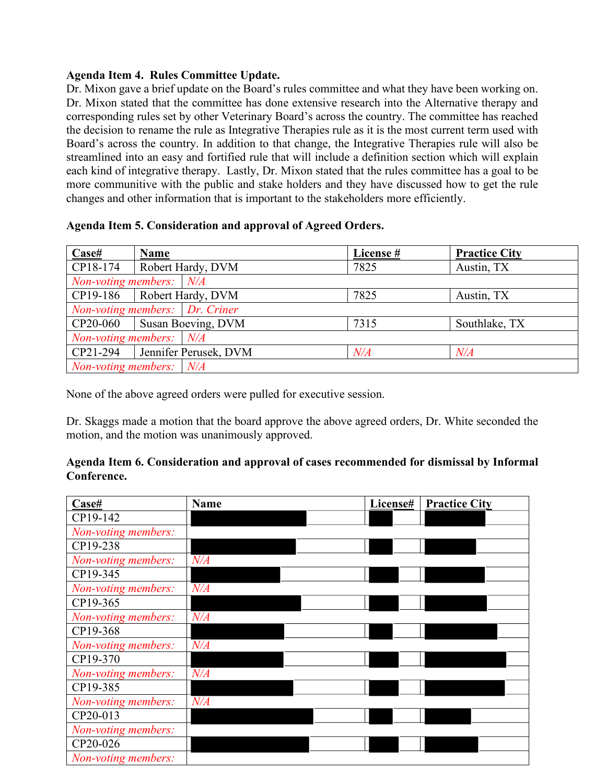# **Agenda Item 4. Rules Committee Update.**

Dr. Mixon gave a brief update on the Board's rules committee and what they have been working on. Dr. Mixon stated that the committee has done extensive research into the Alternative therapy and corresponding rules set by other Veterinary Board's across the country. The committee has reached the decision to rename the rule as Integrative Therapies rule as it is the most current term used with Board's across the country. In addition to that change, the Integrative Therapies rule will also be streamlined into an easy and fortified rule that will include a definition section which will explain each kind of integrative therapy. Lastly, Dr. Mixon stated that the rules committee has a goal to be more communitive with the public and stake holders and they have discussed how to get the rule changes and other information that is important to the stakeholders more efficiently.

# **Agenda Item 5. Consideration and approval of Agreed Orders.**

| Case#                            | <b>Name</b>             | License # | <b>Practice City</b> |  |  |  |
|----------------------------------|-------------------------|-----------|----------------------|--|--|--|
| CP18-174                         | Robert Hardy, DVM       | 7825      | Austin, TX           |  |  |  |
| Non-voting members: $N/A$        |                         |           |                      |  |  |  |
| CP19-186                         | Robert Hardy, DVM       | 7825      | Austin, TX           |  |  |  |
| Non-voting members:   Dr. Criner |                         |           |                      |  |  |  |
| CP20-060                         | Susan Boeving, DVM      | 7315      | Southlake, TX        |  |  |  |
| Non-voting members: N/A          |                         |           |                      |  |  |  |
| CP21-294                         | Jennifer Perusek, DVM   | N/A       | $N\!/\!A$            |  |  |  |
|                                  | Non-voting members: N/A |           |                      |  |  |  |

None of the above agreed orders were pulled for executive session.

Dr. Skaggs made a motion that the board approve the above agreed orders, Dr. White seconded the motion, and the motion was unanimously approved.

# **Agenda Item 6. Consideration and approval of cases recommended for dismissal by Informal Conference.**

| Case#               | <b>Name</b> | License# | <b>Practice City</b> |
|---------------------|-------------|----------|----------------------|
| CP19-142            |             |          |                      |
| Non-voting members: |             |          |                      |
| CP19-238            |             |          |                      |
| Non-voting members: | N/A         |          |                      |
| CP19-345            |             |          |                      |
| Non-voting members: | N/A         |          |                      |
| CP19-365            |             |          |                      |
| Non-voting members: | N/A         |          |                      |
| CP19-368            |             |          |                      |
| Non-voting members: | N/A         |          |                      |
| CP19-370            |             |          |                      |
| Non-voting members: | N/A         |          |                      |
| CP19-385            |             |          |                      |
| Non-voting members: | N/A         |          |                      |
| CP20-013            |             |          |                      |
| Non-voting members: |             |          |                      |
| CP20-026            |             |          |                      |
| Non-voting members: |             |          |                      |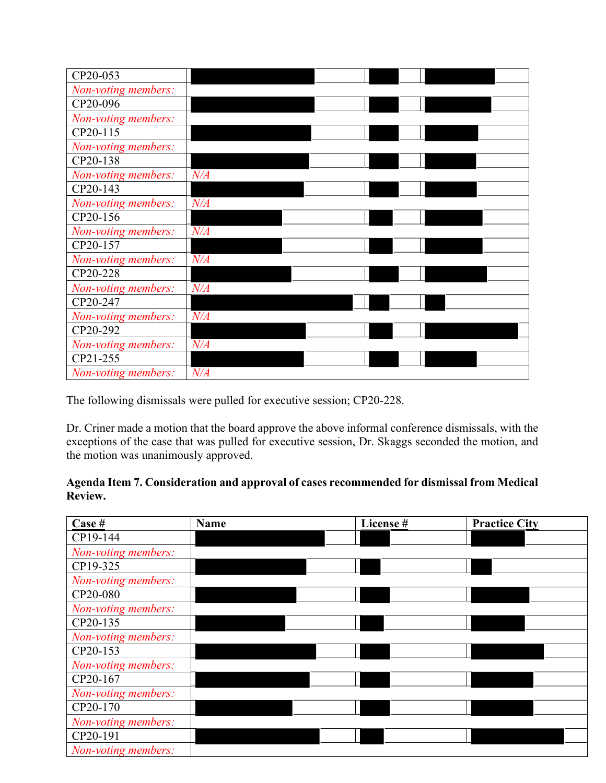| CP20-053            |           |  |
|---------------------|-----------|--|
| Non-voting members: |           |  |
| CP20-096            |           |  |
| Non-voting members: |           |  |
| CP20-115            |           |  |
| Non-voting members: |           |  |
| CP20-138            |           |  |
| Non-voting members: | $N\!/\!A$ |  |
| CP20-143            |           |  |
| Non-voting members: | $N\!/\!A$ |  |
| CP20-156            |           |  |
| Non-voting members: | N/A       |  |
| CP20-157            |           |  |
| Non-voting members: | $N\!/\!A$ |  |
| CP20-228            |           |  |
| Non-voting members: | $N\!/\!A$ |  |
| CP20-247            |           |  |
| Non-voting members: | $N\!/\!A$ |  |
| CP20-292            |           |  |
| Non-voting members: | N/A       |  |
| CP21-255            |           |  |
| Non-voting members: | $N\!/\!A$ |  |

The following dismissals were pulled for executive session; CP20-228.

Dr. Criner made a motion that the board approve the above informal conference dismissals, with the exceptions of the case that was pulled for executive session, Dr. Skaggs seconded the motion, and the motion was unanimously approved.

# **Agenda Item 7. Consideration and approval of cases recommended for dismissal from Medical Review.**

| Case #              | <b>Name</b> | License # | <b>Practice City</b> |
|---------------------|-------------|-----------|----------------------|
| CP19-144            |             |           |                      |
| Non-voting members: |             |           |                      |
| CP19-325            |             |           |                      |
| Non-voting members: |             |           |                      |
| CP20-080            |             |           |                      |
| Non-voting members: |             |           |                      |
| CP20-135            |             |           |                      |
| Non-voting members: |             |           |                      |
| CP20-153            |             |           |                      |
| Non-voting members: |             |           |                      |
| CP20-167            |             |           |                      |
| Non-voting members: |             |           |                      |
| CP20-170            |             |           |                      |
| Non-voting members: |             |           |                      |
| CP20-191            |             |           |                      |
| Non-voting members: |             |           |                      |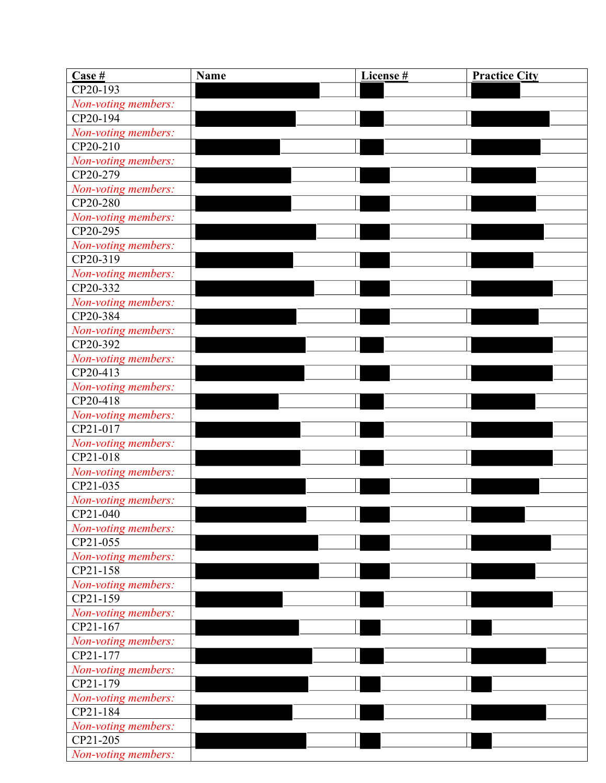| $\frac{\text{Case } \#}{\text{Case } \#}}$ | <b>Name</b> | License # | <b>Practice City</b> |
|--------------------------------------------|-------------|-----------|----------------------|
| CP20-193                                   |             |           |                      |
| Non-voting members:                        |             |           |                      |
| CP20-194                                   |             |           |                      |
| Non-voting members:                        |             |           |                      |
| CP20-210                                   |             |           |                      |
| Non-voting members:                        |             |           |                      |
| CP20-279                                   |             |           |                      |
| Non-voting members:                        |             |           |                      |
| CP20-280                                   |             |           |                      |
| Non-voting members:                        |             |           |                      |
| CP20-295                                   |             |           |                      |
| Non-voting members:                        |             |           |                      |
| CP20-319                                   |             |           |                      |
| Non-voting members:                        |             |           |                      |
| CP20-332                                   |             |           |                      |
| Non-voting members:                        |             |           |                      |
| CP20-384                                   |             |           |                      |
| Non-voting members:                        |             |           |                      |
| CP20-392                                   |             |           |                      |
| Non-voting members:                        |             |           |                      |
| CP20-413                                   |             |           |                      |
| Non-voting members:                        |             |           |                      |
| CP20-418                                   |             |           |                      |
| Non-voting members:                        |             |           |                      |
| CP21-017                                   |             |           |                      |
| Non-voting members:                        |             |           |                      |
| CP21-018                                   |             |           |                      |
| Non-voting members:                        |             |           |                      |
| CP21-035                                   |             |           |                      |
| Non-voting members:                        |             |           |                      |
| CP21-040                                   |             |           |                      |
| Non-voting members:                        |             |           |                      |
| $CP21-055$                                 |             |           |                      |
| Non-voting members:                        |             |           |                      |
| CP21-158                                   |             |           |                      |
| Non-voting members:                        |             |           |                      |
| CP21-159                                   |             |           |                      |
| Non-voting members:                        |             |           |                      |
| CP21-167                                   |             |           |                      |
| Non-voting members:                        |             |           |                      |
| CP21-177                                   |             |           |                      |
| Non-voting members:<br>CP21-179            |             |           |                      |
|                                            |             |           |                      |
| Non-voting members:<br>CP21-184            |             |           |                      |
| Non-voting members:                        |             |           |                      |
| CP21-205                                   |             |           |                      |
| Non-voting members:                        |             |           |                      |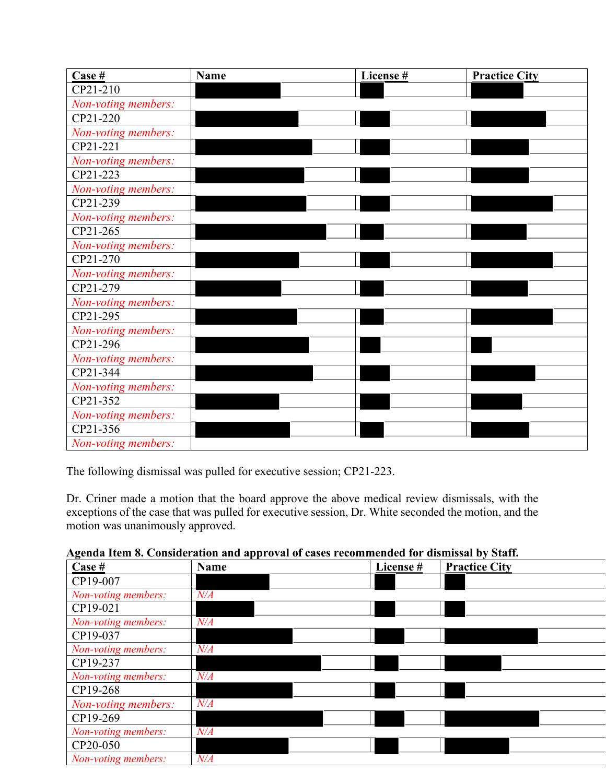| $\frac{\text{Case } \#}{\text{Case } \#}$ | <b>Name</b> | License # | <b>Practice City</b> |
|-------------------------------------------|-------------|-----------|----------------------|
| CP21-210                                  |             |           |                      |
| Non-voting members:                       |             |           |                      |
| CP21-220                                  |             |           |                      |
| Non-voting members:                       |             |           |                      |
| CP21-221                                  |             |           |                      |
| Non-voting members:                       |             |           |                      |
| CP21-223                                  |             |           |                      |
| Non-voting members:                       |             |           |                      |
| CP21-239                                  |             |           |                      |
| Non-voting members:                       |             |           |                      |
| CP21-265                                  |             |           |                      |
| Non-voting members:                       |             |           |                      |
| CP21-270                                  |             |           |                      |
| Non-voting members:                       |             |           |                      |
| CP21-279                                  |             |           |                      |
| Non-voting members:                       |             |           |                      |
| CP21-295                                  |             |           |                      |
| Non-voting members:                       |             |           |                      |
| CP21-296                                  |             |           |                      |
| Non-voting members:                       |             |           |                      |
| CP21-344                                  |             |           |                      |
| Non-voting members:                       |             |           |                      |
| CP21-352                                  |             |           |                      |
| Non-voting members:                       |             |           |                      |
| CP21-356                                  |             |           |                      |
| Non-voting members:                       |             |           |                      |

The following dismissal was pulled for executive session; CP21-223.

Dr. Criner made a motion that the board approve the above medical review dismissals, with the exceptions of the case that was pulled for executive session, Dr. White seconded the motion, and the motion was unanimously approved.

|  |  | Agenda Item 8. Consideration and approval of cases recommended for dismissal by Staff. |  |  |  |  |  |  |  |
|--|--|----------------------------------------------------------------------------------------|--|--|--|--|--|--|--|
|  |  |                                                                                        |  |  |  |  |  |  |  |

| Case #              | <b>Name</b> | License# | <b>Practice City</b> |
|---------------------|-------------|----------|----------------------|
| CP19-007            |             |          |                      |
| Non-voting members: | N/A         |          |                      |
| CP19-021            |             |          |                      |
| Non-voting members: | $N\!/\!A$   |          |                      |
| CP19-037            |             |          |                      |
| Non-voting members: | $N\!/\!A$   |          |                      |
| CP19-237            |             |          |                      |
| Non-voting members: | $N\!/\!A$   |          |                      |
| CP19-268            |             |          |                      |
| Non-voting members: | $N\!/\!A$   |          |                      |
| CP19-269            |             |          |                      |
| Non-voting members: | N/A         |          |                      |
| CP20-050            |             |          |                      |
| Non-voting members: | $N\!/\!A$   |          |                      |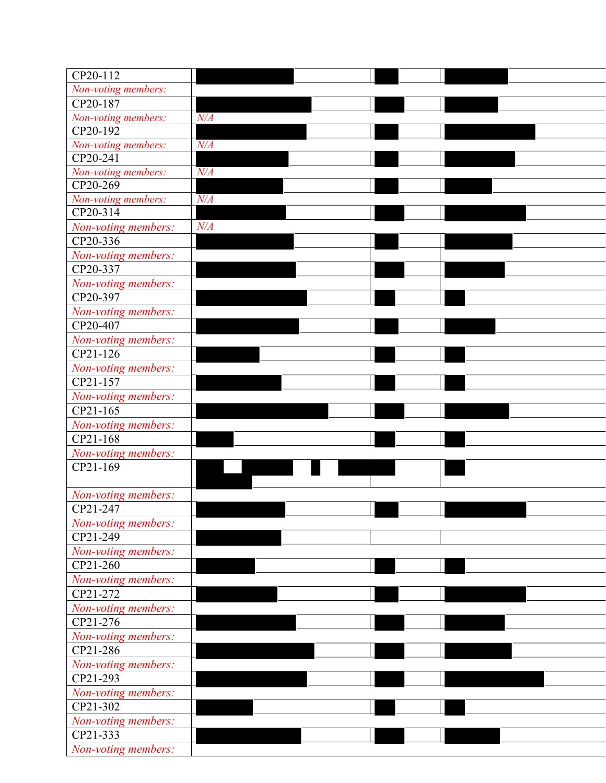| CP20-112<br>Non-voting members:<br>CP20-187 |  |
|---------------------------------------------|--|
|                                             |  |
|                                             |  |
| Non-voting members:<br>N/A                  |  |
| $CP20-192$                                  |  |
| Non-voting members:<br>$N\!/\!A$            |  |
| CP20-241                                    |  |
| Non-voting members:<br>$N\!/\!A$            |  |
| CP20-269                                    |  |
| $N\!/\!A$<br>Non-voting members:            |  |
| CP20-314                                    |  |
| N/A<br>Non-voting members:                  |  |
| CP20-336                                    |  |
| Non-voting members:                         |  |
| CP20-337                                    |  |
| Non-voting members:<br>CP20-397             |  |
|                                             |  |
| Non-voting members:<br>CP20-407             |  |
| Non-voting members:                         |  |
| CP21-126                                    |  |
| Non-voting members:                         |  |
| CP21-157                                    |  |
| Non-voting members:                         |  |
| CP21-165                                    |  |
| Non-voting members:                         |  |
| CP21-168                                    |  |
| Non-voting members:                         |  |
| CP21-169                                    |  |
|                                             |  |
| Non-voting members:                         |  |
| CP21-247                                    |  |
| Non-voting members:                         |  |
| CP21-249                                    |  |
| Non-voting members:                         |  |
| CP21-260                                    |  |
| Non-voting members:                         |  |
| CP21-272                                    |  |
| Non-voting members:                         |  |
| CP21-276                                    |  |
| Non-voting members:                         |  |
| CP21-286<br>Non-voting members:             |  |
| CP21-293                                    |  |
| Non-voting members:                         |  |
| CP21-302                                    |  |
| Non-voting members:                         |  |
| CP21-333                                    |  |
| Non-voting members:                         |  |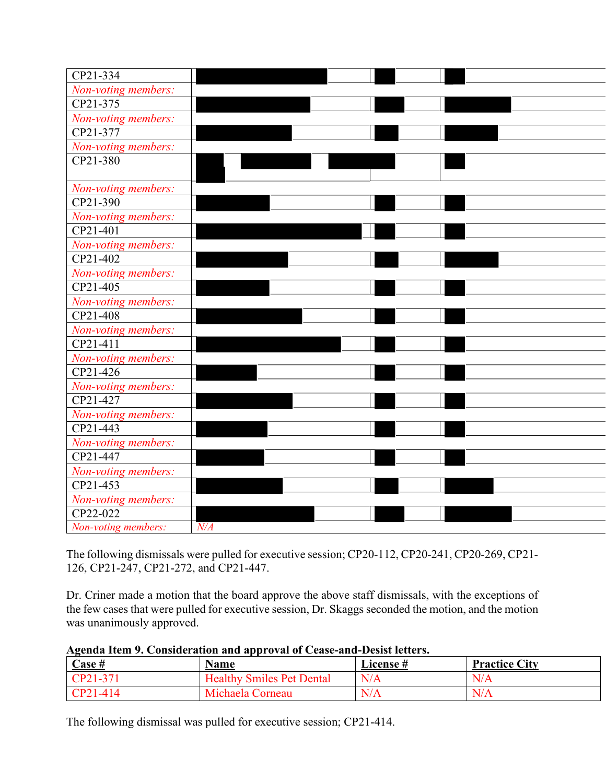| CP21-334            |           |
|---------------------|-----------|
| Non-voting members: |           |
| CP21-375            |           |
|                     |           |
| Non-voting members: |           |
| CP21-377            |           |
| Non-voting members: |           |
| CP21-380            |           |
|                     |           |
| Non-voting members: |           |
| CP21-390            |           |
| Non-voting members: |           |
| CP21-401            |           |
| Non-voting members: |           |
| CP21-402            |           |
| Non-voting members: |           |
| CP21-405            |           |
| Non-voting members: |           |
| CP21-408            |           |
| Non-voting members: |           |
| CP21-411            |           |
| Non-voting members: |           |
| CP21-426            |           |
| Non-voting members: |           |
| CP21-427            |           |
| Non-voting members: |           |
| CP21-443            |           |
| Non-voting members: |           |
| CP21-447            |           |
| Non-voting members: |           |
| CP21-453            |           |
| Non-voting members: |           |
| CP22-022            |           |
|                     | $N\!/\!A$ |
| Non-voting members: |           |

The following dismissals were pulled for executive session; CP20-112, CP20-241, CP20-269, CP21- 126, CP21-247, CP21-272, and CP21-447.

Dr. Criner made a motion that the board approve the above staff dismissals, with the exceptions of the few cases that were pulled for executive session, Dr. Skaggs seconded the motion, and the motion was unanimously approved.

|  | Agenda Item 9. Consideration and approval of Cease-and-Desist letters. |  |
|--|------------------------------------------------------------------------|--|
|  |                                                                        |  |

| <b>Case</b> #<br><u>___</u> | <b>Name</b>                      | <b>License#</b> | <b>Practice City</b> |
|-----------------------------|----------------------------------|-----------------|----------------------|
| $[CP21-37]$                 | <b>Healthy Smiles Pet Dental</b> | N/A             | N/A                  |
| $CP21-414$                  | Michaela Corneau                 | N/A             | N/A                  |

The following dismissal was pulled for executive session; CP21-414.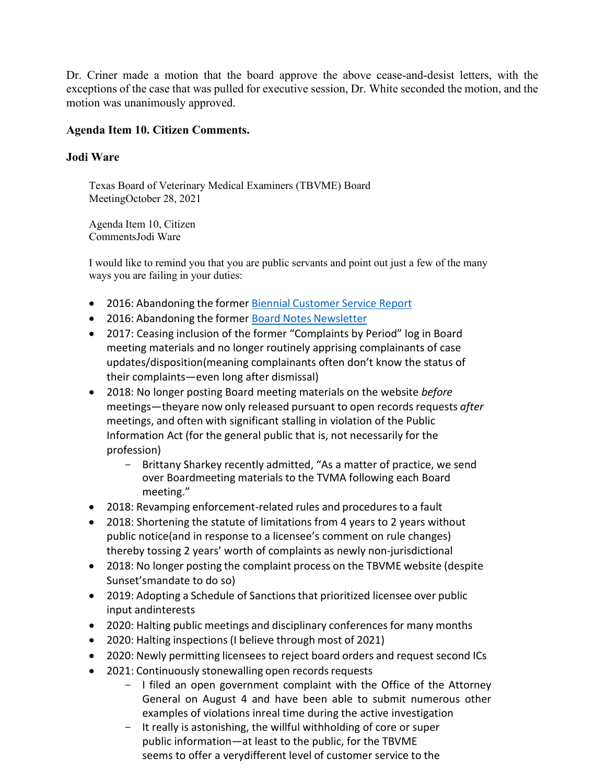Dr. Criner made a motion that the board approve the above cease-and-desist letters, with the exceptions of the case that was pulled for executive session, Dr. White seconded the motion, and the motion was unanimously approved.

#### **Agenda Item 10. Citizen Comments.**

#### **Jodi Ware**

Texas Board of Veterinary Medical Examiners (TBVME) Board MeetingOctober 28, 2021

Agenda Item 10, Citizen CommentsJodi Ware

I would like to remind you that you are public servants and point out just a few of the many ways you are failing in your duties:

- 2016: Abandoning the former Biennial Customer Service Report
- 2016: Abandoning the former Board Notes Newsletter
- 2017: Ceasing inclusion of the former "Complaints by Period" log in Board meeting materials and no longer routinely apprising complainants of case updates/disposition(meaning complainants often don't know the status of their complaints—even long after dismissal)
- 2018: No longer posting Board meeting materials on the website *before*  meetings—theyare now only released pursuant to open records requests *after* meetings, and often with significant stalling in violation of the Public Information Act (for the general public that is, not necessarily for the profession)
	- Brittany Sharkey recently admitted, "As a matter of practice, we send over Boardmeeting materials to the TVMA following each Board meeting."
- 2018: Revamping enforcement-related rules and proceduresto a fault
- 2018: Shortening the statute of limitations from 4 years to 2 years without public notice(and in response to a licensee's comment on rule changes) thereby tossing 2 years' worth of complaints as newly non-jurisdictional
- 2018: No longer posting the complaint process on the TBVME website (despite Sunset'smandate to do so)
- 2019: Adopting a Schedule of Sanctions that prioritized licensee over public input andinterests
- 2020: Halting public meetings and disciplinary conferences for many months
- 2020: Halting inspections (I believe through most of 2021)
- 2020: Newly permitting licensees to reject board orders and request second ICs
- 2021: Continuously stonewalling open records requests
	- I filed an open government complaint with the Office of the Attorney General on August 4 and have been able to submit numerous other examples of violations inreal time during the active investigation
	- It really is astonishing, the willful withholding of core or super public information—at least to the public, for the TBVME seems to offer a verydifferent level of customer service to the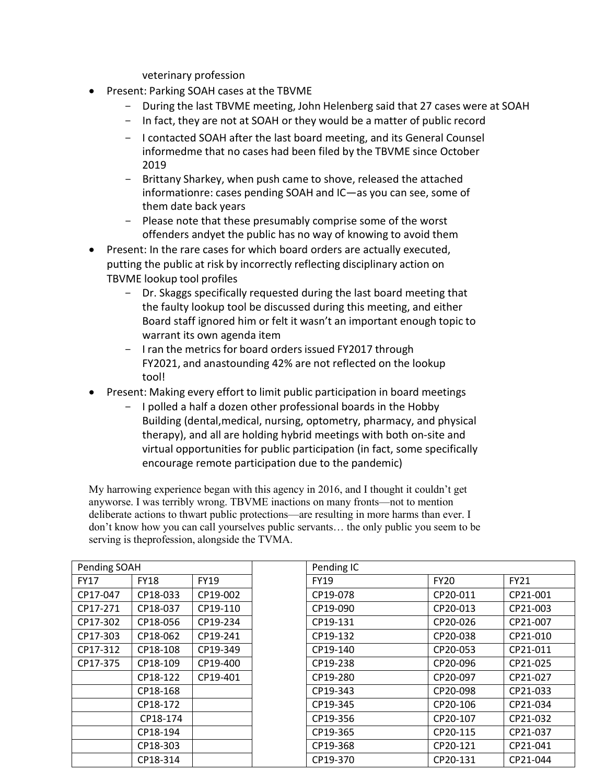veterinary profession

- Present: Parking SOAH cases at the TBVME
	- During the last TBVME meeting, John Helenberg said that 27 cases were at SOAH
	- In fact, they are not at SOAH or they would be a matter of public record
	- I contacted SOAH after the last board meeting, and its General Counsel informedme that no cases had been filed by the TBVME since October 2019
	- Brittany Sharkey, when push came to shove, released the attached informationre: cases pending SOAH and IC—as you can see, some of them date back years
	- Please note that these presumably comprise some of the worst offenders andyet the public has no way of knowing to avoid them
- Present: In the rare cases for which board orders are actually executed, putting the public at risk by incorrectly reflecting disciplinary action on TBVME lookup tool profiles
	- Dr. Skaggs specifically requested during the last board meeting that the faulty lookup tool be discussed during this meeting, and either Board staff ignored him or felt it wasn't an important enough topic to warrant its own agenda item
	- I ran the metrics for board orders issued FY2017 through FY2021, and anastounding 42% are not reflected on the lookup tool!
- Present: Making every effort to limit public participation in board meetings
	- I polled a half a dozen other professional boards in the Hobby Building (dental,medical, nursing, optometry, pharmacy, and physical therapy), and all are holding hybrid meetings with both on-site and virtual opportunities for public participation (in fact, some specifically encourage remote participation due to the pandemic)

My harrowing experience began with this agency in 2016, and I thought it couldn't get anyworse. I was terribly wrong. TBVME inactions on many fronts—not to mention deliberate actions to thwart public protections—are resulting in more harms than ever. I don't know how you can call yourselves public servants… the only public you seem to be serving is theprofession, alongside the TVMA.

| Pending SOAH |             |             | Pending IC  |             |             |
|--------------|-------------|-------------|-------------|-------------|-------------|
| <b>FY17</b>  | <b>FY18</b> | <b>FY19</b> | <b>FY19</b> | <b>FY20</b> | <b>FY21</b> |
| CP17-047     | CP18-033    | CP19-002    | CP19-078    | CP20-011    | CP21-001    |
| CP17-271     | CP18-037    | CP19-110    | CP19-090    | CP20-013    | CP21-003    |
| CP17-302     | CP18-056    | CP19-234    | CP19-131    | CP20-026    | CP21-007    |
| CP17-303     | CP18-062    | CP19-241    | CP19-132    | CP20-038    | CP21-010    |
| CP17-312     | CP18-108    | CP19-349    | CP19-140    | CP20-053    | CP21-011    |
| CP17-375     | CP18-109    | CP19-400    | CP19-238    | CP20-096    | CP21-025    |
|              | CP18-122    | CP19-401    | CP19-280    | CP20-097    | CP21-027    |
|              | CP18-168    |             | CP19-343    | CP20-098    | CP21-033    |
|              | CP18-172    |             | CP19-345    | CP20-106    | CP21-034    |
|              | CP18-174    |             | CP19-356    | CP20-107    | CP21-032    |
|              | CP18-194    |             | CP19-365    | CP20-115    | CP21-037    |
|              | CP18-303    |             | CP19-368    | CP20-121    | CP21-041    |
|              | CP18-314    |             | CP19-370    | CP20-131    | CP21-044    |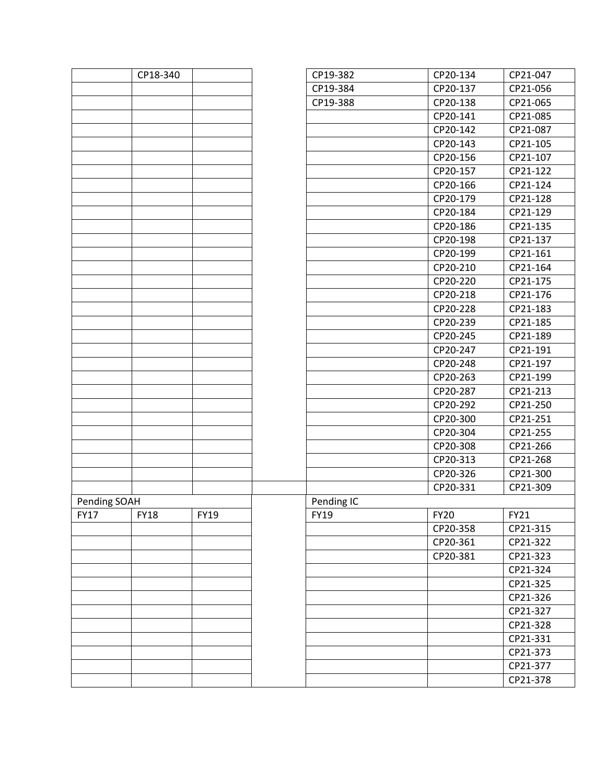|              | CP18-340 |             | CP19-382    | CP20-134    | CP21-047 |
|--------------|----------|-------------|-------------|-------------|----------|
|              |          |             | CP19-384    | CP20-137    | CP21-056 |
|              |          |             | CP19-388    | CP20-138    | CP21-065 |
|              |          |             |             | CP20-141    | CP21-085 |
|              |          |             |             | CP20-142    | CP21-087 |
|              |          |             |             | CP20-143    | CP21-105 |
|              |          |             |             | CP20-156    | CP21-107 |
|              |          |             |             | CP20-157    | CP21-122 |
|              |          |             |             | CP20-166    | CP21-124 |
|              |          |             |             | CP20-179    | CP21-128 |
|              |          |             |             | CP20-184    | CP21-129 |
|              |          |             |             | CP20-186    | CP21-135 |
|              |          |             |             | CP20-198    | CP21-137 |
|              |          |             |             | CP20-199    | CP21-161 |
|              |          |             |             | CP20-210    | CP21-164 |
|              |          |             |             | CP20-220    | CP21-175 |
|              |          |             |             | CP20-218    | CP21-176 |
|              |          |             |             | CP20-228    | CP21-183 |
|              |          |             |             | CP20-239    | CP21-185 |
|              |          |             |             | CP20-245    | CP21-189 |
|              |          |             |             | CP20-247    | CP21-191 |
|              |          |             |             | CP20-248    | CP21-197 |
|              |          |             |             | CP20-263    | CP21-199 |
|              |          |             |             | CP20-287    | CP21-213 |
|              |          |             |             | CP20-292    | CP21-250 |
|              |          |             |             | CP20-300    | CP21-251 |
|              |          |             |             | CP20-304    | CP21-255 |
|              |          |             |             | CP20-308    | CP21-266 |
|              |          |             |             | CP20-313    | CP21-268 |
|              |          |             |             | CP20-326    | CP21-300 |
|              |          |             |             | CP20-331    | CP21-309 |
| Pending SOAH |          |             | Pending IC  |             |          |
| FY17         | FY18     | <b>FY19</b> | <b>FY19</b> | <b>FY20</b> | FY21     |
|              |          |             |             | CP20-358    | CP21-315 |
|              |          |             |             | CP20-361    | CP21-322 |
|              |          |             |             | CP20-381    | CP21-323 |
|              |          |             |             |             | CP21-324 |
|              |          |             |             |             | CP21-325 |
|              |          |             |             |             | CP21-326 |
|              |          |             |             |             | CP21-327 |
|              |          |             |             |             | CP21-328 |
|              |          |             |             |             | CP21-331 |
|              |          |             |             |             | CP21-373 |
|              |          |             |             |             | CP21-377 |
|              |          |             |             |             | CP21-378 |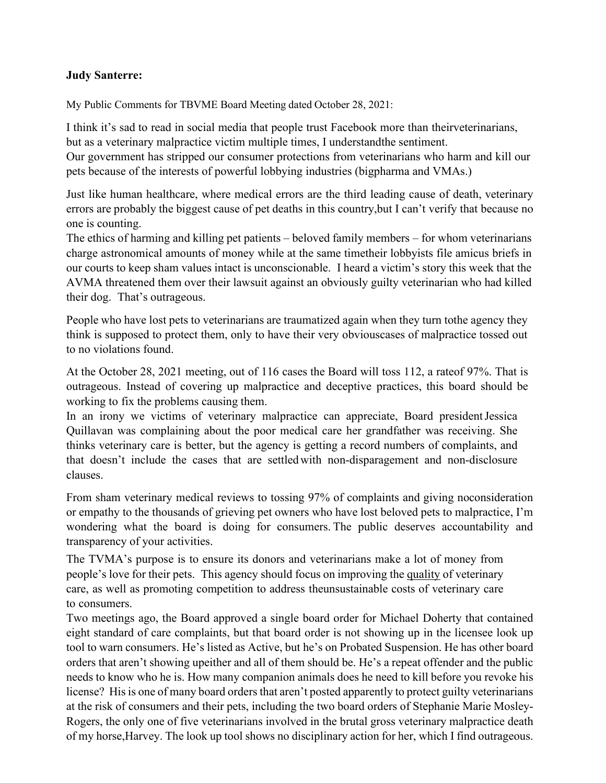### **Judy Santerre:**

My Public Comments for TBVME Board Meeting dated October 28, 2021:

I think it's sad to read in social media that people trust Facebook more than theirveterinarians, but as a veterinary malpractice victim multiple times, I understandthe sentiment.

Our government has stripped our consumer protections from veterinarians who harm and kill our pets because of the interests of powerful lobbying industries (bigpharma and VMAs.)

Just like human healthcare, where medical errors are the third leading cause of death, veterinary errors are probably the biggest cause of pet deaths in this country,but I can't verify that because no one is counting.

The ethics of harming and killing pet patients – beloved family members – for whom veterinarians charge astronomical amounts of money while at the same timetheir lobbyists file amicus briefs in our courts to keep sham values intact is unconscionable. I heard a victim's story this week that the AVMA threatened them over their lawsuit against an obviously guilty veterinarian who had killed their dog. That's outrageous.

People who have lost pets to veterinarians are traumatized again when they turn tothe agency they think is supposed to protect them, only to have their very obviouscases of malpractice tossed out to no violations found.

At the October 28, 2021 meeting, out of 116 cases the Board will toss 112, a rateof 97%. That is outrageous. Instead of covering up malpractice and deceptive practices, this board should be working to fix the problems causing them.

In an irony we victims of veterinary malpractice can appreciate, Board presidentJessica Quillavan was complaining about the poor medical care her grandfather was receiving. She thinks veterinary care is better, but the agency is getting a record numbers of complaints, and that doesn't include the cases that are settledwith non-disparagement and non-disclosure clauses.

From sham veterinary medical reviews to tossing 97% of complaints and giving noconsideration or empathy to the thousands of grieving pet owners who have lost beloved pets to malpractice, I'm wondering what the board is doing for consumers. The public deserves accountability and transparency of your activities.

The TVMA's purpose is to ensure its donors and veterinarians make a lot of money from people's love for their pets. This agency should focus on improving the quality of veterinary care, as well as promoting competition to address theunsustainable costs of veterinary care to consumers.

Two meetings ago, the Board approved a single board order for Michael Doherty that contained eight standard of care complaints, but that board order is not showing up in the licensee look up tool to warn consumers. He's listed as Active, but he's on Probated Suspension. He has other board orders that aren't showing upeither and all of them should be. He's a repeat offender and the public needs to know who he is. How many companion animals does he need to kill before you revoke his license? His is one of many board orders that aren't posted apparently to protect guilty veterinarians at the risk of consumers and their pets, including the two board orders of Stephanie Marie Mosley-Rogers, the only one of five veterinarians involved in the brutal gross veterinary malpractice death of my horse,Harvey. The look up tool shows no disciplinary action for her, which I find outrageous.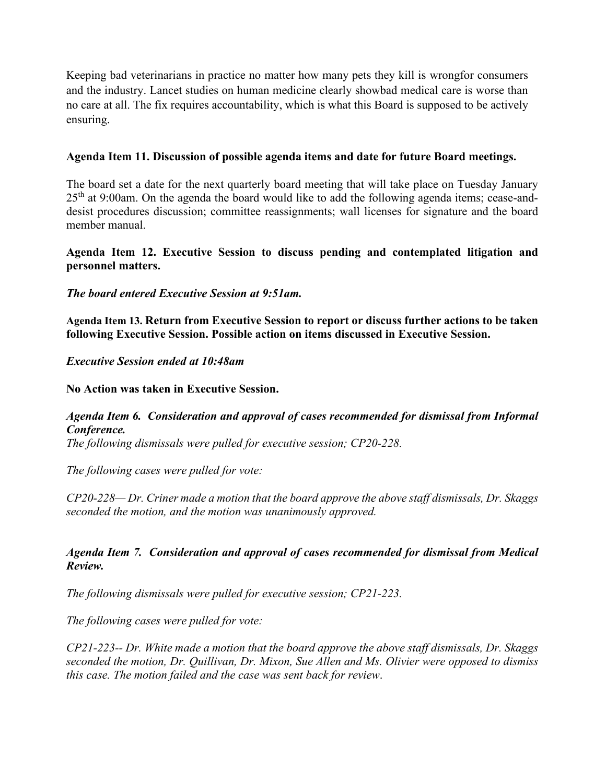Keeping bad veterinarians in practice no matter how many pets they kill is wrongfor consumers and the industry. Lancet studies on human medicine clearly showbad medical care is worse than no care at all. The fix requires accountability, which is what this Board is supposed to be actively ensuring.

#### **Agenda Item 11. Discussion of possible agenda items and date for future Board meetings.**

The board set a date for the next quarterly board meeting that will take place on Tuesday January  $25<sup>th</sup>$  at 9:00am. On the agenda the board would like to add the following agenda items; cease-anddesist procedures discussion; committee reassignments; wall licenses for signature and the board member manual.

### **Agenda Item 12. Executive Session to discuss pending and contemplated litigation and personnel matters.**

# *The board entered Executive Session at 9:51am.*

**Agenda Item 13. Return from Executive Session to report or discuss further actions to be taken following Executive Session. Possible action on items discussed in Executive Session.** 

#### *Executive Session ended at 10:48am*

**No Action was taken in Executive Session.**

# *Agenda Item 6. Consideration and approval of cases recommended for dismissal from Informal Conference.*

*The following dismissals were pulled for executive session; CP20-228.*

*The following cases were pulled for vote:*

*CP20-228— Dr. Criner made a motion that the board approve the above staff dismissals, Dr. Skaggs seconded the motion, and the motion was unanimously approved.*

# *Agenda Item 7. Consideration and approval of cases recommended for dismissal from Medical Review.*

*The following dismissals were pulled for executive session; CP21-223.*

*The following cases were pulled for vote:*

*CP21-223-- Dr. White made a motion that the board approve the above staff dismissals, Dr. Skaggs seconded the motion, Dr. Quillivan, Dr. Mixon, Sue Allen and Ms. Olivier were opposed to dismiss this case. The motion failed and the case was sent back for review*.